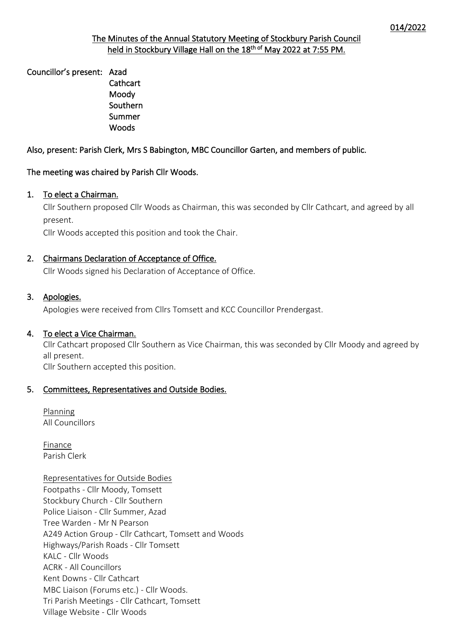# The Minutes of the Annual Statutory Meeting of Stockbury Parish Council held in Stockbury Village Hall on the 18<sup>th of</sup> May 2022 at 7:55 PM.

Councillor's present: Azad

**Cathcart**  Moody Southern Summer Woods

# Also, present: Parish Clerk, Mrs S Babington, MBC Councillor Garten, and members of public.

# The meeting was chaired by Parish Cllr Woods.

# 1. To elect a Chairman.

Cllr Southern proposed Cllr Woods as Chairman, this was seconded by Cllr Cathcart, and agreed by all present.

Cllr Woods accepted this position and took the Chair.

# 2. Chairmans Declaration of Acceptance of Office.

Cllr Woods signed his Declaration of Acceptance of Office.

# 3. Apologies.

Apologies were received from Cllrs Tomsett and KCC Councillor Prendergast.

# 4. To elect a Vice Chairman.

Cllr Cathcart proposed Cllr Southern as Vice Chairman, this was seconded by Cllr Moody and agreed by all present. Cllr Southern accepted this position.

# 5. Committees, Representatives and Outside Bodies.

Planning All Councillors

Finance Parish Clerk

# Representatives for Outside Bodies

Footpaths - Cllr Moody, Tomsett Stockbury Church - Cllr Southern Police Liaison - Cllr Summer, Azad Tree Warden - Mr N Pearson A249 Action Group - Cllr Cathcart, Tomsett and Woods Highways/Parish Roads - Cllr Tomsett KALC - Cllr Woods ACRK - All Councillors Kent Downs - Cllr Cathcart MBC Liaison (Forums etc.) - Cllr Woods. Tri Parish Meetings - Cllr Cathcart, Tomsett Village Website - Cllr Woods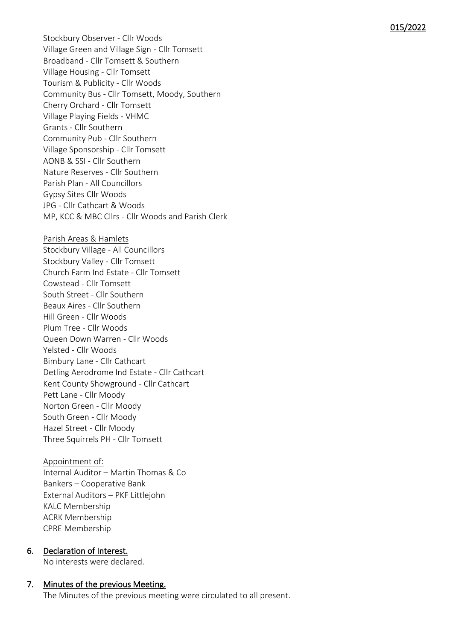Stockbury Observer - Cllr Woods Village Green and Village Sign - Cllr Tomsett Broadband - Cllr Tomsett & Southern Village Housing - Cllr Tomsett Tourism & Publicity - Cllr Woods Community Bus - Cllr Tomsett, Moody, Southern Cherry Orchard - Cllr Tomsett Village Playing Fields - VHMC Grants - Cllr Southern Community Pub - Cllr Southern Village Sponsorship - Cllr Tomsett AONB & SSI - Cllr Southern Nature Reserves - Cllr Southern Parish Plan - All Councillors Gypsy Sites Cllr Woods JPG - Cllr Cathcart & Woods MP, KCC & MBC Cllrs - Cllr Woods and Parish Clerk

Parish Areas & Hamlets Stockbury Village - All Councillors Stockbury Valley - Cllr Tomsett Church Farm Ind Estate - Cllr Tomsett Cowstead - Cllr Tomsett South Street - Cllr Southern Beaux Aires - Cllr Southern Hill Green - Cllr Woods Plum Tree - Cllr Woods Queen Down Warren - Cllr Woods Yelsted - Cllr Woods Bimbury Lane - Cllr Cathcart Detling Aerodrome Ind Estate - Cllr Cathcart Kent County Showground - Cllr Cathcart Pett Lane - Cllr Moody Norton Green - Cllr Moody South Green - Cllr Moody Hazel Street - Cllr Moody Three Squirrels PH - Cllr Tomsett

Appointment of: Internal Auditor – Martin Thomas & Co Bankers – Cooperative Bank External Auditors – PKF Littlejohn KALC Membership ACRK Membership CPRE Membership

6. Declaration of Interest. No interests were declared.

7. Minutes of the previous Meeting. The Minutes of the previous meeting were circulated to all present.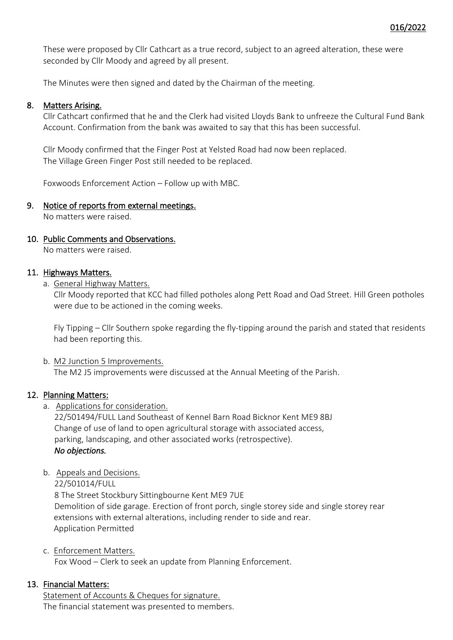These were proposed by Cllr Cathcart as a true record, subject to an agreed alteration, these were seconded by Cllr Moody and agreed by all present.

The Minutes were then signed and dated by the Chairman of the meeting.

#### 8. Matters Arising.

Cllr Cathcart confirmed that he and the Clerk had visited Lloyds Bank to unfreeze the Cultural Fund Bank Account. Confirmation from the bank was awaited to say that this has been successful.

Cllr Moody confirmed that the Finger Post at Yelsted Road had now been replaced. The Village Green Finger Post still needed to be replaced.

Foxwoods Enforcement Action – Follow up with MBC.

#### 9. Notice of reports from external meetings.

No matters were raised.

### 10. Public Comments and Observations.

No matters were raised.

# 11. Highways Matters.

a. General Highway Matters.

Cllr Moody reported that KCC had filled potholes along Pett Road and Oad Street. Hill Green potholes were due to be actioned in the coming weeks.

Fly Tipping – Cllr Southern spoke regarding the fly-tipping around the parish and stated that residents had been reporting this.

#### b. M2 Junction 5 Improvements.

The M2 J5 improvements were discussed at the Annual Meeting of the Parish.

### 12. Planning Matters:

a. Applications for consideration.

22/501494/FULL Land Southeast of Kennel Barn Road Bicknor Kent ME9 8BJ Change of use of land to open agricultural storage with associated access, parking, landscaping, and other associated works (retrospective). *No objections.* 

b. Appeals and Decisions.

22/501014/FULL

8 The Street Stockbury Sittingbourne Kent ME9 7UE Demolition of side garage. Erection of front porch, single storey side and single storey rear extensions with external alterations, including render to side and rear. Application Permitted

### c. Enforcement Matters.

Fox Wood – Clerk to seek an update from Planning Enforcement.

### 13. Financial Matters:

Statement of Accounts & Cheques for signature. The financial statement was presented to members.